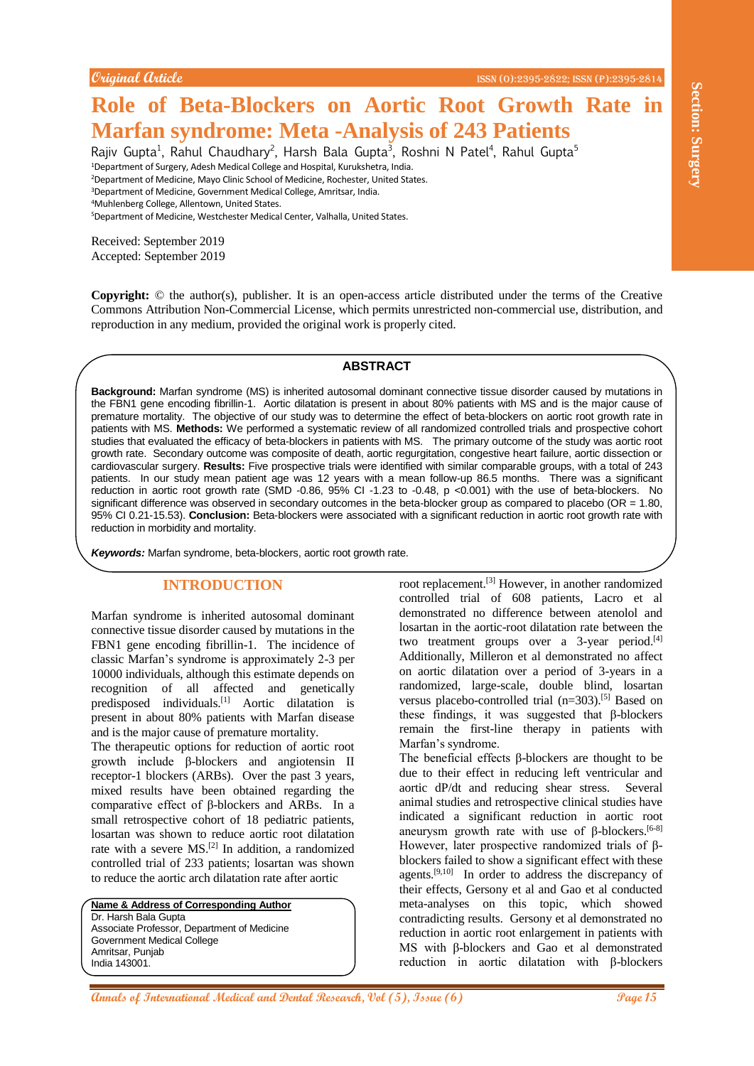# **Role of Beta-Blockers on Aortic Root Growth Rate in Marfan syndrome: Meta -Analysis of 243 Patients**

Rajiv Gupta<sup>1</sup>, Rahul Chaudhary<sup>2</sup>, Harsh Bala Gupta<sup>3</sup>, Roshni N Patel<sup>4</sup>, Rahul Gupta<sup>5</sup>

<sup>1</sup>Department of Surgery, Adesh Medical College and Hospital, Kurukshetra, India.

<sup>2</sup>Department of Medicine, Mayo Clinic School of Medicine, Rochester, United States. <sup>3</sup>Department of Medicine, Government Medical College, Amritsar, India.

<sup>4</sup>Muhlenberg College, Allentown, United States.

<sup>5</sup>Department of Medicine, Westchester Medical Center, Valhalla, United States.

Received: September 2019 Accepted: September 2019

**Copyright:** © the author(s), publisher. It is an open-access article distributed under the terms of the Creative Commons Attribution Non-Commercial License, which permits unrestricted non-commercial use, distribution, and reproduction in any medium, provided the original work is properly cited.

## **ABSTRACT**

**Andre Core Reta-Blockers on Aortic Root Growth Rate in The Core of the Core of the Core of the Core of the Core of the Core of the Core of the Core of the Core of the Core of the Core of the Core of the Core of the Core o Background:** Marfan syndrome (MS) is inherited autosomal dominant connective tissue disorder caused by mutations in the FBN1 gene encoding fibrillin-1. Aortic dilatation is present in about 80% patients with MS and is the major cause of premature mortality. The objective of our study was to determine the effect of beta-blockers on aortic root growth rate in patients with MS. **Methods:** We performed a systematic review of all randomized controlled trials and prospective cohort studies that evaluated the efficacy of beta-blockers in patients with MS. The primary outcome of the study was aortic root growth rate. Secondary outcome was composite of death, aortic regurgitation, congestive heart failure, aortic dissection or cardiovascular surgery. **Results:** Five prospective trials were identified with similar comparable groups, with a total of 243 patients. In our study mean patient age was 12 years with a mean follow-up 86.5 months. There was a significant reduction in aortic root growth rate (SMD -0.86, 95% CI -1.23 to -0.48, p <0.001) with the use of beta-blockers. No significant difference was observed in secondary outcomes in the beta-blocker group as compared to placebo (OR = 1.80, 95% CI 0.21-15.53). **Conclusion:** Beta-blockers were associated with a significant reduction in aortic root growth rate with reduction in morbidity and mortality.

*Keywords:* Marfan syndrome, beta-blockers, aortic root growth rate.

## **INTRODUCTION**

Marfan syndrome is inherited autosomal dominant connective tissue disorder caused by mutations in the FBN1 gene encoding fibrillin-1. The incidence of classic Marfan's syndrome is approximately 2-3 per 10000 individuals, although this estimate depends on recognition of all affected and genetically predisposed individuals.[1] Aortic dilatation is present in about 80% patients with Marfan disease and is the major cause of premature mortality.

The therapeutic options for reduction of aortic root growth include β-blockers and angiotensin II receptor-1 blockers (ARBs). Over the past 3 years, mixed results have been obtained regarding the comparative effect of β-blockers and ARBs. In a small retrospective cohort of 18 pediatric patients, losartan was shown to reduce aortic root dilatation rate with a severe MS.[2] In addition, a randomized controlled trial of 233 patients; losartan was shown to reduce the aortic arch dilatation rate after aortic

**Name & Address of Corresponding Author** Dr. Harsh Bala Gupta Associate Professor, Department of Medicine Government Medical College Amritsar, Punjab India 143001.

root replacement.[3] However, in another randomized controlled trial of 608 patients, Lacro et al demonstrated no difference between atenolol and losartan in the aortic-root dilatation rate between the two treatment groups over a 3-year period.<sup>[4]</sup> Additionally, Milleron et al demonstrated no affect on aortic dilatation over a period of 3-years in a randomized, large-scale, double blind, losartan versus placebo-controlled trial (n=303). [5] Based on these findings, it was suggested that β-blockers remain the first-line therapy in patients with Marfan's syndrome.

The beneficial effects β-blockers are thought to be due to their effect in reducing left ventricular and aortic dP/dt and reducing shear stress. Several animal studies and retrospective clinical studies have indicated a significant reduction in aortic root aneurysm growth rate with use of  $β$ -blockers.<sup>[6-8]</sup> However, later prospective randomized trials of βblockers failed to show a significant effect with these agents.<sup>[9,10]</sup> In order to address the discrepancy of their effects, Gersony et al and Gao et al conducted meta-analyses on this topic, which showed contradicting results. Gersony et al demonstrated no reduction in aortic root enlargement in patients with MS with β-blockers and Gao et al demonstrated reduction in aortic dilatation with β-blockers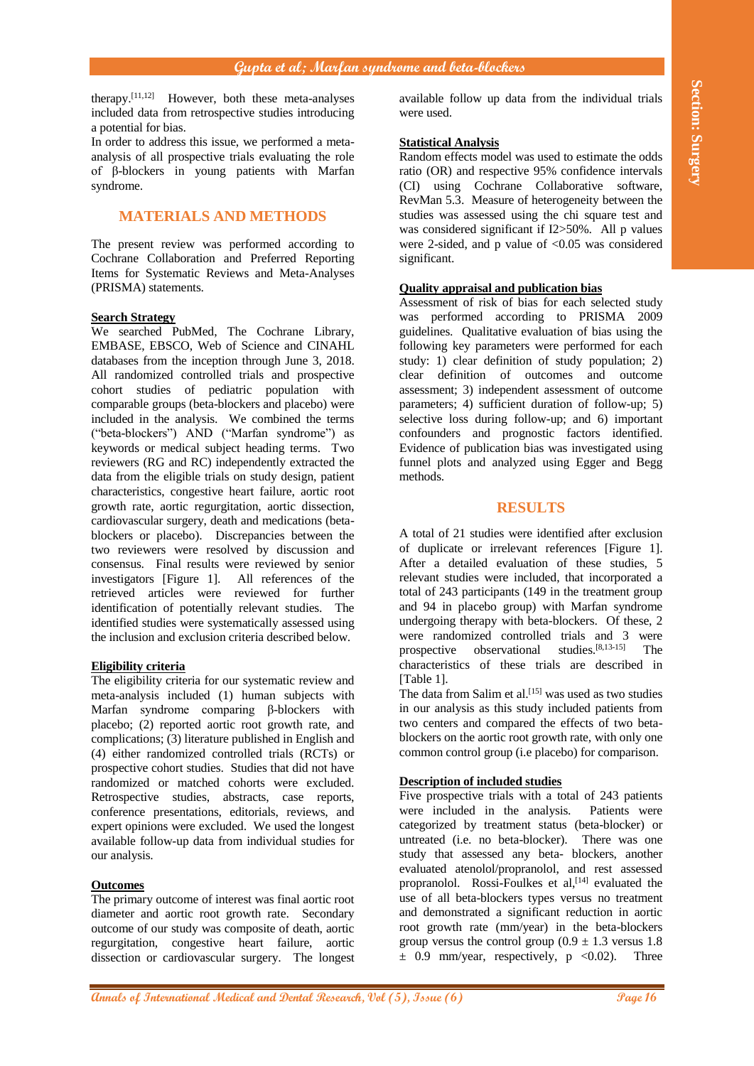therapy. [11,12] However, both these meta-analyses included data from retrospective studies introducing a potential for bias.

In order to address this issue, we performed a metaanalysis of all prospective trials evaluating the role of β-blockers in young patients with Marfan syndrome.

# **MATERIALS AND METHODS**

The present review was performed according to Cochrane Collaboration and Preferred Reporting Items for Systematic Reviews and Meta-Analyses (PRISMA) statements.

### **Search Strategy**

**Break Based Free Book and Dental and Dental and Dental Research and Dental Ann and Dental Ann and Dental Ann and Dental Ann and Dental Research and Dental Research and Dental Research and Dental Research and Dental Ann an** We searched PubMed, The Cochrane Library, EMBASE, EBSCO, Web of Science and CINAHL databases from the inception through June 3, 2018. All randomized controlled trials and prospective cohort studies of pediatric population with comparable groups (beta-blockers and placebo) were included in the analysis. We combined the terms ("beta-blockers") AND ("Marfan syndrome") as keywords or medical subject heading terms. Two reviewers (RG and RC) independently extracted the data from the eligible trials on study design, patient characteristics, congestive heart failure, aortic root growth rate, aortic regurgitation, aortic dissection, cardiovascular surgery, death and medications (betablockers or placebo). Discrepancies between the two reviewers were resolved by discussion and consensus. Final results were reviewed by senior investigators [Figure 1]. All references of the retrieved articles were reviewed for further identification of potentially relevant studies. The identified studies were systematically assessed using the inclusion and exclusion criteria described below.

### **Eligibility criteria**

The eligibility criteria for our systematic review and meta-analysis included (1) human subjects with Marfan syndrome comparing β-blockers with placebo; (2) reported aortic root growth rate, and complications; (3) literature published in English and (4) either randomized controlled trials (RCTs) or prospective cohort studies. Studies that did not have randomized or matched cohorts were excluded. Retrospective studies, abstracts, case reports, conference presentations, editorials, reviews, and expert opinions were excluded. We used the longest available follow-up data from individual studies for our analysis.

## **Outcomes**

The primary outcome of interest was final aortic root diameter and aortic root growth rate. Secondary outcome of our study was composite of death, aortic regurgitation, congestive heart failure, aortic dissection or cardiovascular surgery. The longest available follow up data from the individual trials were used.

#### **Statistical Analysis**

Random effects model was used to estimate the odds ratio (OR) and respective 95% confidence intervals (CI) using Cochrane Collaborative software, RevMan 5.3. Measure of heterogeneity between the studies was assessed using the chi square test and was considered significant if I2>50%. All p values were 2-sided, and p value of  $< 0.05$  was considered significant.

## **Quality appraisal and publication bias**

Assessment of risk of bias for each selected study was performed according to PRISMA 2009 guidelines. Qualitative evaluation of bias using the following key parameters were performed for each study: 1) clear definition of study population; 2) clear definition of outcomes and outcome assessment; 3) independent assessment of outcome parameters; 4) sufficient duration of follow-up; 5) selective loss during follow-up; and 6) important confounders and prognostic factors identified. Evidence of publication bias was investigated using funnel plots and analyzed using Egger and Begg methods.

## **RESULTS**

A total of 21 studies were identified after exclusion of duplicate or irrelevant references [Figure 1]. After a detailed evaluation of these studies, 5 relevant studies were included, that incorporated a total of 243 participants (149 in the treatment group and 94 in placebo group) with Marfan syndrome undergoing therapy with beta-blockers. Of these, 2 were randomized controlled trials and 3 were prospective observational studies. $[8,13-15]$  The characteristics of these trials are described in [Table 1].

The data from Salim et al.<sup>[15]</sup> was used as two studies in our analysis as this study included patients from two centers and compared the effects of two betablockers on the aortic root growth rate, with only one common control group (i.e placebo) for comparison.

#### **Description of included studies**

Five prospective trials with a total of 243 patients were included in the analysis. Patients were categorized by treatment status (beta-blocker) or untreated (i.e. no beta-blocker). There was one study that assessed any beta- blockers, another evaluated atenolol/propranolol, and rest assessed propranolol. Rossi-Foulkes et al,<sup>[14]</sup> evaluated the use of all beta-blockers types versus no treatment and demonstrated a significant reduction in aortic root growth rate (mm/year) in the beta-blockers group versus the control group  $(0.9 \pm 1.3 \text{ versus } 1.8)$  $\pm$  0.9 mm/year, respectively, p <0.02). Three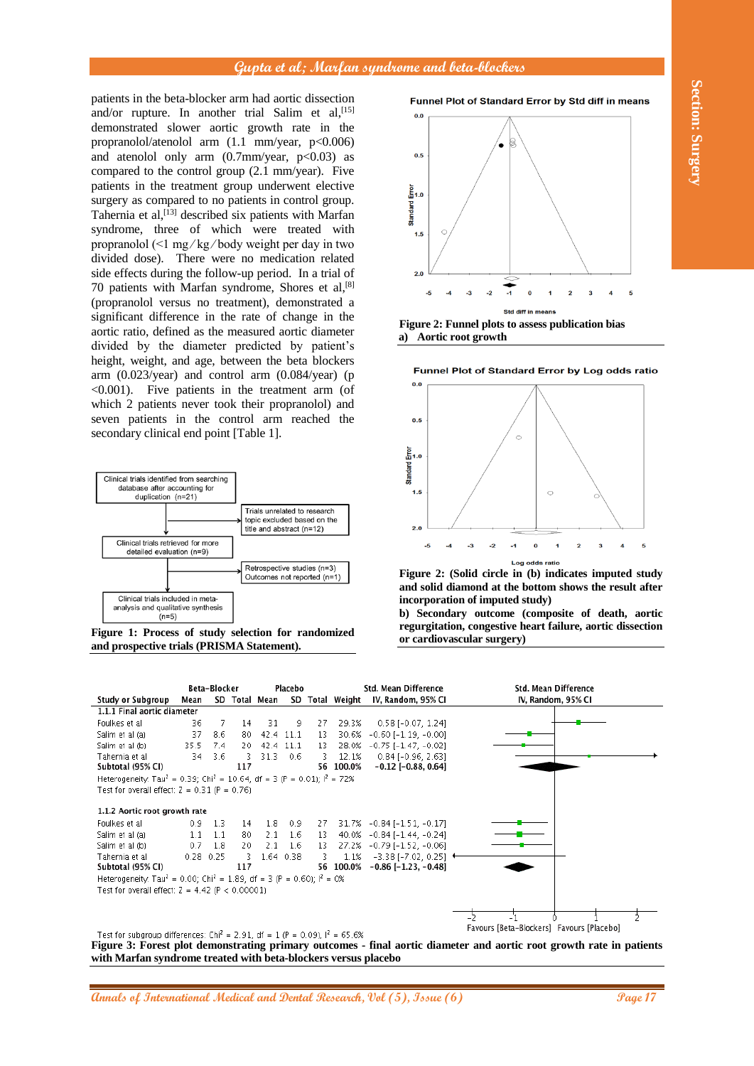patients in the beta-blocker arm had aortic dissection and/or rupture. In another trial Salim et al, [15] demonstrated slower aortic growth rate in the propranolol/atenolol arm (1.1 mm/year, p<0.006) and atenolol only arm  $(0.7 \text{mm/year}, p<0.03)$  as compared to the control group (2.1 mm/year). Five patients in the treatment group underwent elective surgery as compared to no patients in control group. Tahernia et al,<sup>[13]</sup> described six patients with Marfan syndrome, three of which were treated with propranolol (<1 mg ⁄ kg ⁄ body weight per day in two divided dose). There were no medication related side effects during the follow-up period. In a trial of 70 patients with Marfan syndrome, Shores et al, [8] (propranolol versus no treatment), demonstrated a significant difference in the rate of change in the aortic ratio, defined as the measured aortic diameter divided by the diameter predicted by patient's height, weight, and age, between the beta blockers arm  $(0.023/\text{year})$  and control arm  $(0.084/\text{year})$  (p <0.001). Five patients in the treatment arm (of which 2 patients never took their propranolol) and seven patients in the control arm reached the secondary clinical end point [Table 1].







**Figure 2: Funnel plots to assess publication bias a) Aortic root growth**





**Figure 2: (Solid circle in (b) indicates imputed study and solid diamond at the bottom shows the result after incorporation of imputed study)**

**b) Secondary outcome (composite of death, aortic regurgitation, congestive heart failure, aortic dissection or cardiovascular surgery)**



**Figure 3: Forest plot demonstrating primary outcomes - final aortic diameter and aortic root growth rate in patients with Marfan syndrome treated with beta-blockers versus placebo**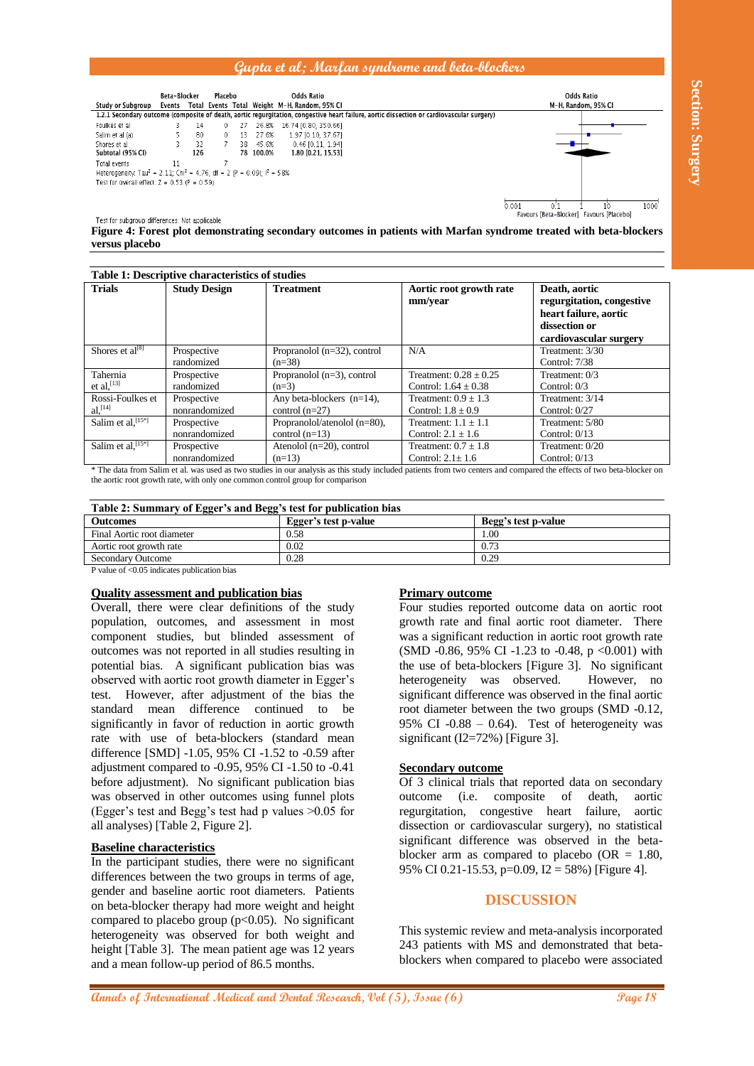

| Study or Subgroup<br>Foulkes et al<br>Salim et al (a)<br>Shores et al<br>Subtotal (95% CI)<br>Total events<br>Test for overall effect: $Z = 0.53$ (P = 0.59)                                                                                                                                                                                                                                                                                                                                                                                                                                                                                                                                                                                                   | Events Total Events Total Weight M-H, Random, 95% CI<br>14<br>0<br>3<br>5<br>80<br>0<br>13 27.6%<br>3.<br>32<br>38 45.6%<br>7<br>126<br>$\overline{7}$<br>11<br>Heterogeneity. Tau <sup>2</sup> = 2.11; Chi <sup>2</sup> = 4.76, df = 2 (P = 0.09); $I^2$ = 58% | 1.2.1 Secondary outcome (composite of death, aortic regurgitation, congestive heart failure, aortic dissection or cardiovascular surgery)<br>27 26.8% 16.74 [0.80, 350.66]<br>1.97 [0.10, 37.67]<br>$0.46$ [0.11, 1.94]<br>78 100.0%<br>1.80 [0.21, 15.53] |                                                                                                                                                                                                                                                                                                                                                                                                                                                                                                                                                                                                                                                       | M-H, Random, 95% CI                                                                                                                                                                           |
|----------------------------------------------------------------------------------------------------------------------------------------------------------------------------------------------------------------------------------------------------------------------------------------------------------------------------------------------------------------------------------------------------------------------------------------------------------------------------------------------------------------------------------------------------------------------------------------------------------------------------------------------------------------------------------------------------------------------------------------------------------------|-----------------------------------------------------------------------------------------------------------------------------------------------------------------------------------------------------------------------------------------------------------------|------------------------------------------------------------------------------------------------------------------------------------------------------------------------------------------------------------------------------------------------------------|-------------------------------------------------------------------------------------------------------------------------------------------------------------------------------------------------------------------------------------------------------------------------------------------------------------------------------------------------------------------------------------------------------------------------------------------------------------------------------------------------------------------------------------------------------------------------------------------------------------------------------------------------------|-----------------------------------------------------------------------------------------------------------------------------------------------------------------------------------------------|
| Test for subgroup differences: Not applicable<br>versus placebo                                                                                                                                                                                                                                                                                                                                                                                                                                                                                                                                                                                                                                                                                                |                                                                                                                                                                                                                                                                 |                                                                                                                                                                                                                                                            | 0.001                                                                                                                                                                                                                                                                                                                                                                                                                                                                                                                                                                                                                                                 | 1000<br>0.1<br>$10^{\circ}$<br>Favours [Beta-Blocker] Favours [Placebo]<br>Figure 4: Forest plot demonstrating secondary outcomes in patients with Marfan syndrome treated with beta-blockers |
|                                                                                                                                                                                                                                                                                                                                                                                                                                                                                                                                                                                                                                                                                                                                                                | Table 1: Descriptive characteristics of studies                                                                                                                                                                                                                 |                                                                                                                                                                                                                                                            |                                                                                                                                                                                                                                                                                                                                                                                                                                                                                                                                                                                                                                                       |                                                                                                                                                                                               |
| <b>Trials</b>                                                                                                                                                                                                                                                                                                                                                                                                                                                                                                                                                                                                                                                                                                                                                  | <b>Study Design</b>                                                                                                                                                                                                                                             | <b>Treatment</b>                                                                                                                                                                                                                                           | Aortic root growth rate<br>mm/year                                                                                                                                                                                                                                                                                                                                                                                                                                                                                                                                                                                                                    | Death, aortic<br>regurgitation, congestive<br>heart failure, aortic<br>dissection or<br>cardiovascular surgery                                                                                |
| Shores et al <sup>[8]</sup>                                                                                                                                                                                                                                                                                                                                                                                                                                                                                                                                                                                                                                                                                                                                    | Prospective<br>randomized                                                                                                                                                                                                                                       | Propranolol (n=32), control<br>$(n=38)$                                                                                                                                                                                                                    | N/A                                                                                                                                                                                                                                                                                                                                                                                                                                                                                                                                                                                                                                                   | Treatment: 3/30<br>Control: 7/38                                                                                                                                                              |
| Tahernia<br>et al, $[13]$                                                                                                                                                                                                                                                                                                                                                                                                                                                                                                                                                                                                                                                                                                                                      | Prospective<br>randomized                                                                                                                                                                                                                                       | Propranolol $(n=3)$ , control<br>$(n=3)$                                                                                                                                                                                                                   | Treatment: $0.28 \pm 0.25$<br>Control: $1.64 \pm 0.38$                                                                                                                                                                                                                                                                                                                                                                                                                                                                                                                                                                                                | Treatment: 0/3<br>Control: $0/3$                                                                                                                                                              |
| Rossi-Foulkes et<br>$al,$ <sup>[14]</sup><br>Salim et al, [15*]                                                                                                                                                                                                                                                                                                                                                                                                                                                                                                                                                                                                                                                                                                | Prospective<br>nonrandomized<br>Prospective                                                                                                                                                                                                                     | Any beta-blockers $(n=14)$ ,<br>control $(n=27)$<br>Propranolol/atenolol (n=80),                                                                                                                                                                           | Treatment: $0.9 + 1.3$<br>Control: $1.8 \pm 0.9$<br>Treatment: $1.1 \pm 1.1$                                                                                                                                                                                                                                                                                                                                                                                                                                                                                                                                                                          | Treatment: 3/14<br>Control: $0/27$<br>Treatment: 5/80                                                                                                                                         |
| Salim et al, [15*]                                                                                                                                                                                                                                                                                                                                                                                                                                                                                                                                                                                                                                                                                                                                             | nonrandomized<br>Prospective                                                                                                                                                                                                                                    | control $(n=13)$<br>Atenolol $(n=20)$ , control                                                                                                                                                                                                            | Control: $2.1 \pm 1.6$<br>Treatment: $0.7 \pm 1.8$                                                                                                                                                                                                                                                                                                                                                                                                                                                                                                                                                                                                    | Control: $0/13$<br>Treatment: 0/20                                                                                                                                                            |
|                                                                                                                                                                                                                                                                                                                                                                                                                                                                                                                                                                                                                                                                                                                                                                | nonrandomized                                                                                                                                                                                                                                                   | $(n=13)$<br>the aortic root growth rate, with only one common control group for comparison                                                                                                                                                                 | Control: $2.1 \pm 1.6$                                                                                                                                                                                                                                                                                                                                                                                                                                                                                                                                                                                                                                | Control: $0/13$<br>* The data from Salim et al. was used as two studies in our analysis as this study included patients from two centers and compared the effects of two beta-blocker on      |
| <b>Outcomes</b>                                                                                                                                                                                                                                                                                                                                                                                                                                                                                                                                                                                                                                                                                                                                                |                                                                                                                                                                                                                                                                 | Table 2: Summary of Egger's and Begg's test for publication bias<br>Egger's test p-value                                                                                                                                                                   | Begg's test p-value                                                                                                                                                                                                                                                                                                                                                                                                                                                                                                                                                                                                                                   |                                                                                                                                                                                               |
| Final Aortic root diameter                                                                                                                                                                                                                                                                                                                                                                                                                                                                                                                                                                                                                                                                                                                                     |                                                                                                                                                                                                                                                                 | 0.58                                                                                                                                                                                                                                                       | 1.00                                                                                                                                                                                                                                                                                                                                                                                                                                                                                                                                                                                                                                                  |                                                                                                                                                                                               |
| Aortic root growth rate                                                                                                                                                                                                                                                                                                                                                                                                                                                                                                                                                                                                                                                                                                                                        |                                                                                                                                                                                                                                                                 | 0.02                                                                                                                                                                                                                                                       | 0.73                                                                                                                                                                                                                                                                                                                                                                                                                                                                                                                                                                                                                                                  |                                                                                                                                                                                               |
| <b>Quality assessment and publication bias</b><br>Overall, there were clear definitions of the study<br>population, outcomes, and assessment in most<br>component studies, but blinded assessment of<br>outcomes was not reported in all studies resulting in<br>potential bias. A significant publication bias was<br>observed with aortic root growth diameter in Egger's<br>test. However, after adjustment of the bias the<br>difference continued to<br>standard mean<br>be<br>significantly in favor of reduction in aortic growth<br>rate with use of beta-blockers (standard mean<br>difference [SMD] -1.05, 95% CI -1.52 to -0.59 after<br>adjustment compared to -0.95, 95% CI -1.50 to -0.41<br>before adjustment). No significant publication bias |                                                                                                                                                                                                                                                                 |                                                                                                                                                                                                                                                            | <b>Primary outcome</b><br>Four studies reported outcome data on aortic root<br>growth rate and final aortic root diameter. There<br>was a significant reduction in aortic root growth rate<br>(SMD -0.86, 95% CI -1.23 to -0.48, p <0.001) with<br>the use of beta-blockers [Figure 3]. No significant<br>heterogeneity was observed.<br>However,<br>no<br>significant difference was observed in the final aortic<br>root diameter between the two groups (SMD -0.12,<br>95% CI -0.88 - 0.64). Test of heterogeneity was<br>significant ( $I2=72%$ ) [Figure 3].<br><b>Secondary outcome</b><br>Of 3 clinical trials that reported data on secondary |                                                                                                                                                                                               |
| was observed in other outcomes using funnel plots<br>(Egger's test and Begg's test had p values >0.05 for<br>all analyses) [Table 2, Figure 2].<br><b>Baseline characteristics</b><br>In the participant studies, there were no significant<br>differences between the two groups in terms of age,<br>gender and baseline aortic root diameters. Patients<br>on beta-blocker therapy had more weight and height<br>compared to placebo group $(p<0.05)$ . No significant<br>heterogeneity was observed for both weight and<br>height [Table 3]. The mean patient age was 12 years<br>and a mean follow-up period of 86.5 months.                                                                                                                               |                                                                                                                                                                                                                                                                 |                                                                                                                                                                                                                                                            | composite<br>of<br>(i.e.<br>death,<br>outcome<br>aortic<br>regurgitation,<br>congestive heart<br>failure,<br>aortic<br>dissection or cardiovascular surgery), no statistical<br>significant difference was observed in the beta-<br>blocker arm as compared to placebo (OR = $1.80$ ,<br>95% CI 0.21-15.53, p=0.09, I2 = 58%) [Figure 4].<br><b>DISCUSSION</b><br>This systemic review and meta-analysis incorporated<br>243 patients with MS and demonstrated that beta-<br>blockers when compared to placebo were associated                                                                                                                        |                                                                                                                                                                                               |

| Table 2: Summary of Egger's and Begg's test for publication bias                                                                  |                      |                     |  |  |  |
|-----------------------------------------------------------------------------------------------------------------------------------|----------------------|---------------------|--|--|--|
| <b>Outcomes</b>                                                                                                                   | Egger's test p-value | Begg's test p-value |  |  |  |
| Final Aortic root diameter                                                                                                        | 0.58                 | 1.00                |  |  |  |
| Aortic root growth rate                                                                                                           | 0.02                 | 0.73                |  |  |  |
| <b>Secondary Outcome</b>                                                                                                          | 0.28                 | 0.29                |  |  |  |
| $\mathbf{D}$ and $\mathbf{L}$ and $\mathbf{D}$ and $\mathbf{D}$ is discovered in the set of $\mathbf{L}$ is a set of $\mathbf{L}$ |                      |                     |  |  |  |

#### **Quality assessment and publication bias**

#### **Baseline characteristics**

#### **Primary outcome**

#### **Secondary outcome**

### **DISCUSSION**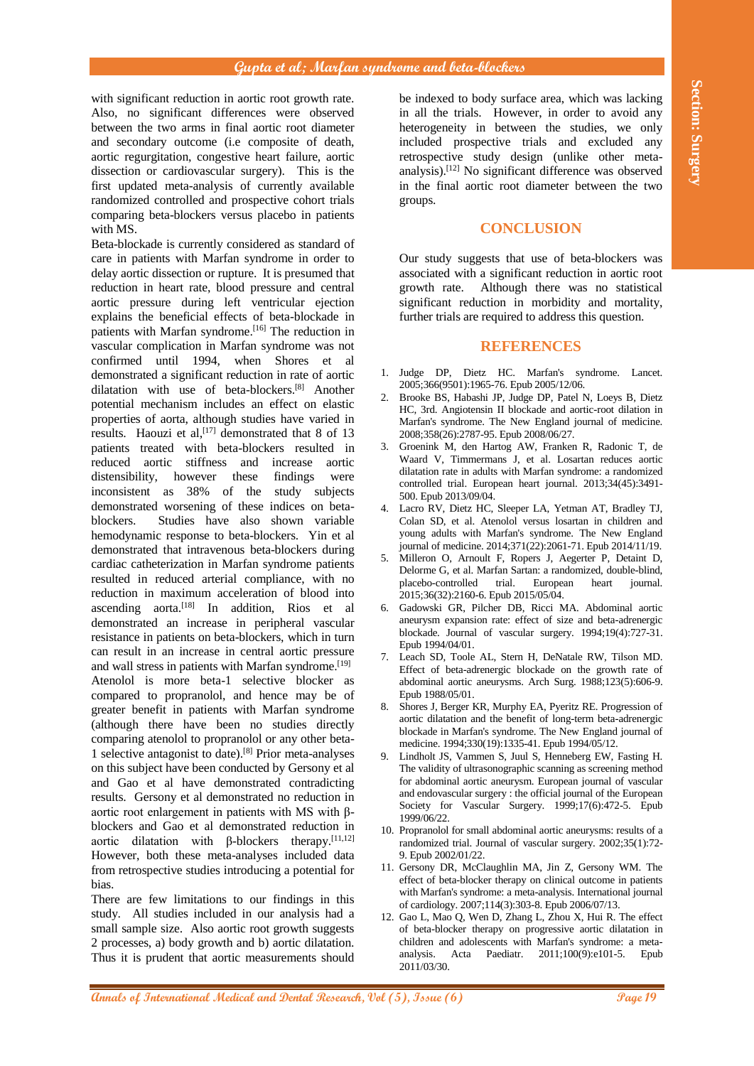with significant reduction in aortic root growth rate. Also, no significant differences were observed between the two arms in final aortic root diameter and secondary outcome (i.e composite of death, aortic regurgitation, congestive heart failure, aortic dissection or cardiovascular surgery). This is the first updated meta-analysis of currently available randomized controlled and prospective cohort trials comparing beta-blockers versus placebo in patients with MS.

with the internal methods in the international by the international by the international by the international methods in the international methods in the international methods in the international methods in the internati Beta-blockade is currently considered as standard of care in patients with Marfan syndrome in order to delay aortic dissection or rupture. It is presumed that reduction in heart rate, blood pressure and central aortic pressure during left ventricular ejection explains the beneficial effects of beta-blockade in patients with Marfan syndrome.<sup>[16]</sup> The reduction in vascular complication in Marfan syndrome was not confirmed until 1994, when Shores et al demonstrated a significant reduction in rate of aortic dilatation with use of beta-blockers. [8] Another potential mechanism includes an effect on elastic properties of aorta, although studies have varied in results. Haouzi et al,  $[17]$  demonstrated that 8 of 13 patients treated with beta-blockers resulted in reduced aortic stiffness and increase aortic distensibility, however these findings were inconsistent as 38% of the study subjects demonstrated worsening of these indices on betablockers. Studies have also shown variable hemodynamic response to beta-blockers. Yin et al demonstrated that intravenous beta-blockers during cardiac catheterization in Marfan syndrome patients resulted in reduced arterial compliance, with no reduction in maximum acceleration of blood into ascending aorta. [18] In addition, Rios et al demonstrated an increase in peripheral vascular resistance in patients on beta-blockers, which in turn can result in an increase in central aortic pressure and wall stress in patients with Marfan syndrome.<sup>[19]</sup> Atenolol is more beta-1 selective blocker as compared to propranolol, and hence may be of greater benefit in patients with Marfan syndrome (although there have been no studies directly comparing atenolol to propranolol or any other beta-1 selective antagonist to date). [8] Prior meta-analyses on this subject have been conducted by Gersony et al and Gao et al have demonstrated contradicting results. Gersony et al demonstrated no reduction in aortic root enlargement in patients with MS with βblockers and Gao et al demonstrated reduction in aortic dilatation with  $\beta$ -blockers therapy.<sup>[11,12]</sup> However, both these meta-analyses included data from retrospective studies introducing a potential for bias.

There are few limitations to our findings in this study. All studies included in our analysis had a small sample size. Also aortic root growth suggests 2 processes, a) body growth and b) aortic dilatation. Thus it is prudent that aortic measurements should

be indexed to body surface area, which was lacking in all the trials. However, in order to avoid any heterogeneity in between the studies, we only included prospective trials and excluded any retrospective study design (unlike other metaanalysis). [12] No significant difference was observed in the final aortic root diameter between the two groups.

#### **CONCLUSION**

Our study suggests that use of beta-blockers was associated with a significant reduction in aortic root growth rate. Although there was no statistical significant reduction in morbidity and mortality, further trials are required to address this question.

### **REFERENCES**

- 1. Judge DP, Dietz HC. Marfan's syndrome. Lancet. 2005;366(9501):1965-76. Epub 2005/12/06.
- 2. Brooke BS, Habashi JP, Judge DP, Patel N, Loeys B, Dietz HC, 3rd. Angiotensin II blockade and aortic-root dilation in Marfan's syndrome. The New England journal of medicine. 2008;358(26):2787-95. Epub 2008/06/27.
- 3. Groenink M, den Hartog AW, Franken R, Radonic T, de Waard V, Timmermans J, et al. Losartan reduces aortic dilatation rate in adults with Marfan syndrome: a randomized controlled trial. European heart journal. 2013;34(45):3491- 500. Epub 2013/09/04.
- 4. Lacro RV, Dietz HC, Sleeper LA, Yetman AT, Bradley TJ, Colan SD, et al. Atenolol versus losartan in children and young adults with Marfan's syndrome. The New England journal of medicine. 2014;371(22):2061-71. Epub 2014/11/19.
- 5. Milleron O, Arnoult F, Ropers J, Aegerter P, Detaint D, Delorme G, et al. Marfan Sartan: a randomized, double-blind, placebo-controlled trial. European heart journal. 2015;36(32):2160-6. Epub 2015/05/04.
- 6. Gadowski GR, Pilcher DB, Ricci MA. Abdominal aortic aneurysm expansion rate: effect of size and beta-adrenergic blockade. Journal of vascular surgery. 1994;19(4):727-31. Epub 1994/04/01.
- Leach SD, Toole AL, Stern H, DeNatale RW, Tilson MD. Effect of beta-adrenergic blockade on the growth rate of abdominal aortic aneurysms. Arch Surg. 1988;123(5):606-9. Epub 1988/05/01.
- 8. Shores J, Berger KR, Murphy EA, Pyeritz RE. Progression of aortic dilatation and the benefit of long-term beta-adrenergic blockade in Marfan's syndrome. The New England journal of medicine. 1994;330(19):1335-41. Epub 1994/05/12.
- 9. Lindholt JS, Vammen S, Juul S, Henneberg EW, Fasting H. The validity of ultrasonographic scanning as screening method for abdominal aortic aneurysm. European journal of vascular and endovascular surgery : the official journal of the European Society for Vascular Surgery. 1999;17(6):472-5. Epub 1999/06/22.
- 10. Propranolol for small abdominal aortic aneurysms: results of a randomized trial. Journal of vascular surgery. 2002;35(1):72- 9. Epub 2002/01/22.
- 11. Gersony DR, McClaughlin MA, Jin Z, Gersony WM. The effect of beta-blocker therapy on clinical outcome in patients with Marfan's syndrome: a meta-analysis. International journal of cardiology. 2007;114(3):303-8. Epub 2006/07/13.
- 12. Gao L, Mao Q, Wen D, Zhang L, Zhou X, Hui R. The effect of beta-blocker therapy on progressive aortic dilatation in children and adolescents with Marfan's syndrome: a metaanalysis. Acta Paediatr. 2011;100(9):e101-5. Epub 2011/03/30.